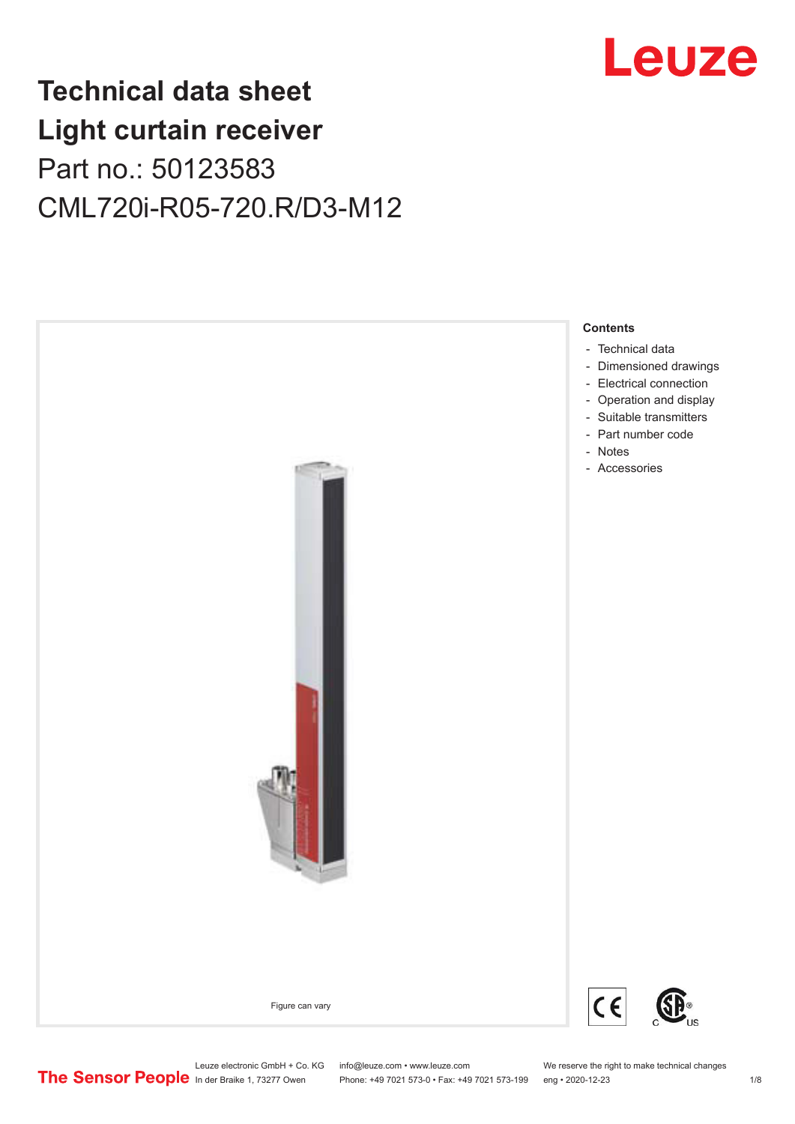## Leuze

## **Technical data sheet Light curtain receiver** Part no.: 50123583 CML720i-R05-720.R/D3-M12



Leuze electronic GmbH + Co. KG info@leuze.com • www.leuze.com We reserve the right to make technical changes<br>
The Sensor People in der Braike 1, 73277 Owen Phone: +49 7021 573-0 • Fax: +49 7021 573-199 eng • 2020-12-23

Phone: +49 7021 573-0 • Fax: +49 7021 573-199 eng • 2020-12-23 1 /8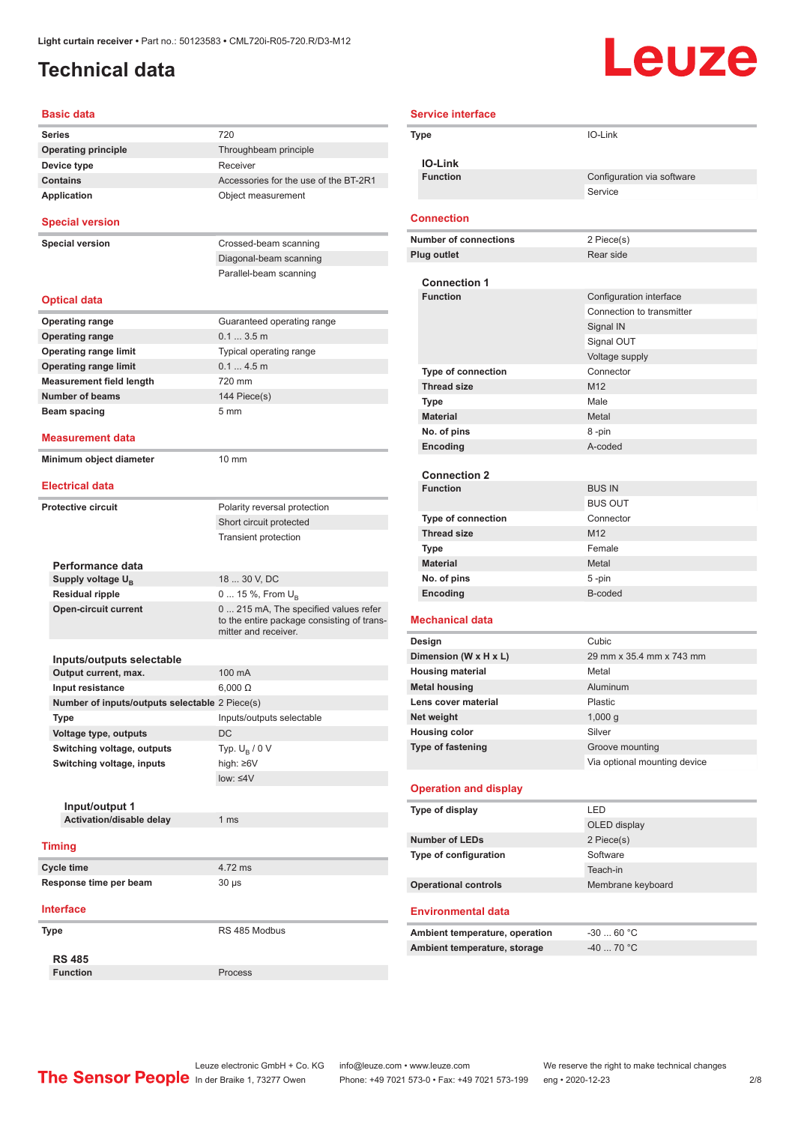### <span id="page-1-0"></span>**Technical data**

# Leuze

| <b>Basic data</b>                              |                                                                                                             |
|------------------------------------------------|-------------------------------------------------------------------------------------------------------------|
| Series                                         | 720                                                                                                         |
| <b>Operating principle</b>                     | Throughbeam principle                                                                                       |
| Device type                                    | Receiver                                                                                                    |
| <b>Contains</b>                                | Accessories for the use of the BT-2R1                                                                       |
| <b>Application</b>                             | Object measurement                                                                                          |
| <b>Special version</b>                         |                                                                                                             |
| <b>Special version</b>                         | Crossed-beam scanning                                                                                       |
|                                                | Diagonal-beam scanning                                                                                      |
|                                                | Parallel-beam scanning                                                                                      |
| <b>Optical data</b>                            |                                                                                                             |
| <b>Operating range</b>                         | Guaranteed operating range                                                                                  |
| <b>Operating range</b>                         | 0.13.5m                                                                                                     |
| <b>Operating range limit</b>                   | Typical operating range                                                                                     |
| <b>Operating range limit</b>                   | 0.14.5m                                                                                                     |
| <b>Measurement field length</b>                | 720 mm                                                                                                      |
| <b>Number of beams</b>                         | 144 Piece(s)                                                                                                |
| <b>Beam spacing</b>                            | 5 <sub>mm</sub>                                                                                             |
|                                                |                                                                                                             |
| <b>Measurement data</b>                        |                                                                                                             |
| Minimum object diameter                        | $10 \text{ mm}$                                                                                             |
| <b>Electrical data</b>                         |                                                                                                             |
| <b>Protective circuit</b>                      | Polarity reversal protection                                                                                |
|                                                | Short circuit protected                                                                                     |
|                                                | <b>Transient protection</b>                                                                                 |
|                                                |                                                                                                             |
| Performance data                               |                                                                                                             |
| Supply voltage U <sub>B</sub>                  | 18  30 V, DC                                                                                                |
| <b>Residual ripple</b>                         | 0  15 %, From $U_B$                                                                                         |
| <b>Open-circuit current</b>                    | 0  215 mA, The specified values refer<br>to the entire package consisting of trans-<br>mitter and receiver. |
|                                                |                                                                                                             |
| Inputs/outputs selectable                      |                                                                                                             |
| Output current, max.                           | 100 mA                                                                                                      |
| Input resistance                               | $6,000 \Omega$                                                                                              |
| Number of inputs/outputs selectable 2 Piece(s) |                                                                                                             |
| Type                                           | Inputs/outputs selectable                                                                                   |
| Voltage type, outputs                          | DC                                                                                                          |
| Switching voltage, outputs                     | Typ. $U_R / 0 V$                                                                                            |
| Switching voltage, inputs                      | high: ≥6V                                                                                                   |
|                                                | $low: 4V$                                                                                                   |
|                                                |                                                                                                             |
| Input/output 1                                 |                                                                                                             |
| Activation/disable delay                       | 1 <sub>ms</sub>                                                                                             |
| <b>Timing</b>                                  |                                                                                                             |
| <b>Cycle time</b>                              | 4.72 ms                                                                                                     |
| Response time per beam                         | 30 µs                                                                                                       |
| <b>Interface</b>                               |                                                                                                             |
|                                                |                                                                                                             |
| Type                                           | RS 485 Modbus                                                                                               |
| <b>RS 485</b>                                  |                                                                                                             |
| <b>Function</b>                                | Process                                                                                                     |

| <b>Service interface</b>                        |                                       |
|-------------------------------------------------|---------------------------------------|
| Type                                            | IO-Link                               |
|                                                 |                                       |
| <b>IO-Link</b>                                  |                                       |
| <b>Function</b>                                 | Configuration via software<br>Service |
|                                                 |                                       |
| <b>Connection</b>                               |                                       |
| <b>Number of connections</b>                    | 2 Piece(s)                            |
| <b>Plug outlet</b>                              | Rear side                             |
|                                                 |                                       |
| <b>Connection 1</b>                             |                                       |
| <b>Function</b>                                 | Configuration interface               |
|                                                 | Connection to transmitter             |
|                                                 | Signal IN                             |
|                                                 | Signal OUT<br>Voltage supply          |
| <b>Type of connection</b>                       | Connector                             |
| <b>Thread size</b>                              | M <sub>12</sub>                       |
| <b>Type</b>                                     | Male                                  |
| <b>Material</b>                                 | Metal                                 |
| No. of pins                                     | 8-pin                                 |
| Encoding                                        | A-coded                               |
|                                                 |                                       |
| <b>Connection 2</b><br><b>Function</b>          |                                       |
|                                                 | <b>BUS IN</b><br><b>BUS OUT</b>       |
| <b>Type of connection</b>                       | Connector                             |
| <b>Thread size</b>                              | M12                                   |
| Type                                            | Female                                |
| <b>Material</b>                                 | Metal                                 |
| No. of pins                                     | 5-pin                                 |
| Encoding                                        | B-coded                               |
| <b>Mechanical data</b>                          |                                       |
|                                                 |                                       |
| Design                                          | Cubic                                 |
| Dimension (W x H x L)                           | 29 mm x 35.4 mm x 743 mm              |
| <b>Housing material</b><br><b>Metal housing</b> | Metal<br>Aluminum                     |
| Lens cover material                             | Plastic                               |
| Net weight                                      | 1,000 g                               |
| <b>Housing color</b>                            | Silver                                |
| <b>Type of fastening</b>                        | Groove mounting                       |
|                                                 | Via optional mounting device          |
| <b>Operation and display</b>                    |                                       |
|                                                 |                                       |
| Type of display                                 | LED<br>OLED display                   |
| <b>Number of LEDs</b>                           | 2 Piece(s)                            |
| Type of configuration                           | Software                              |
|                                                 | Teach-in                              |
| <b>Operational controls</b>                     | Membrane keyboard                     |
|                                                 |                                       |
| <b>Environmental data</b>                       |                                       |
| Ambient temperature, operation                  | $-3060 °C$                            |
| Ambient temperature, storage                    | -40  70 °C                            |
|                                                 |                                       |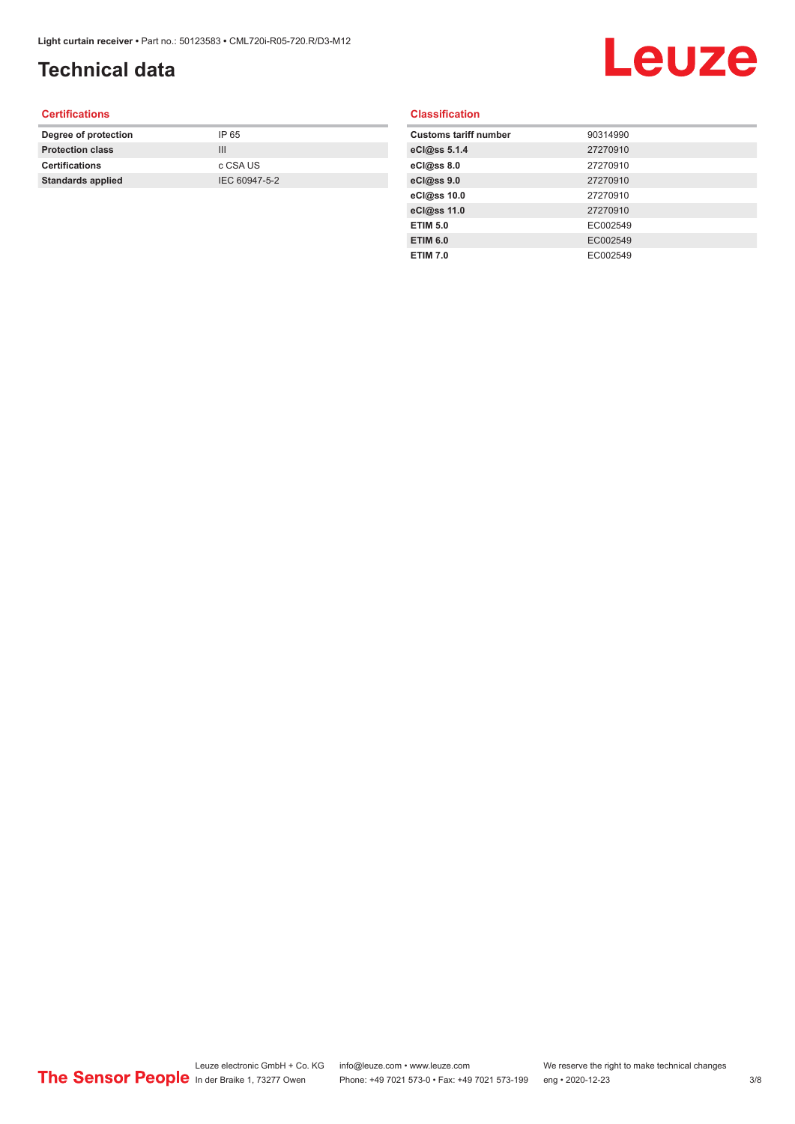### **Technical data**

# Leuze

#### **Certifications**

| Degree of protection     | IP 65         |
|--------------------------|---------------|
| <b>Protection class</b>  | Ш             |
| <b>Certifications</b>    | c CSA US      |
| <b>Standards applied</b> | IEC 60947-5-2 |
|                          |               |

#### **Classification**

| <b>Customs tariff number</b> | 90314990 |
|------------------------------|----------|
| eCl@ss 5.1.4                 | 27270910 |
| eCl@ss 8.0                   | 27270910 |
| eCl@ss 9.0                   | 27270910 |
| eCl@ss 10.0                  | 27270910 |
| eCl@ss 11.0                  | 27270910 |
| <b>ETIM 5.0</b>              | EC002549 |
| <b>ETIM 6.0</b>              | EC002549 |
| <b>ETIM 7.0</b>              | EC002549 |
|                              |          |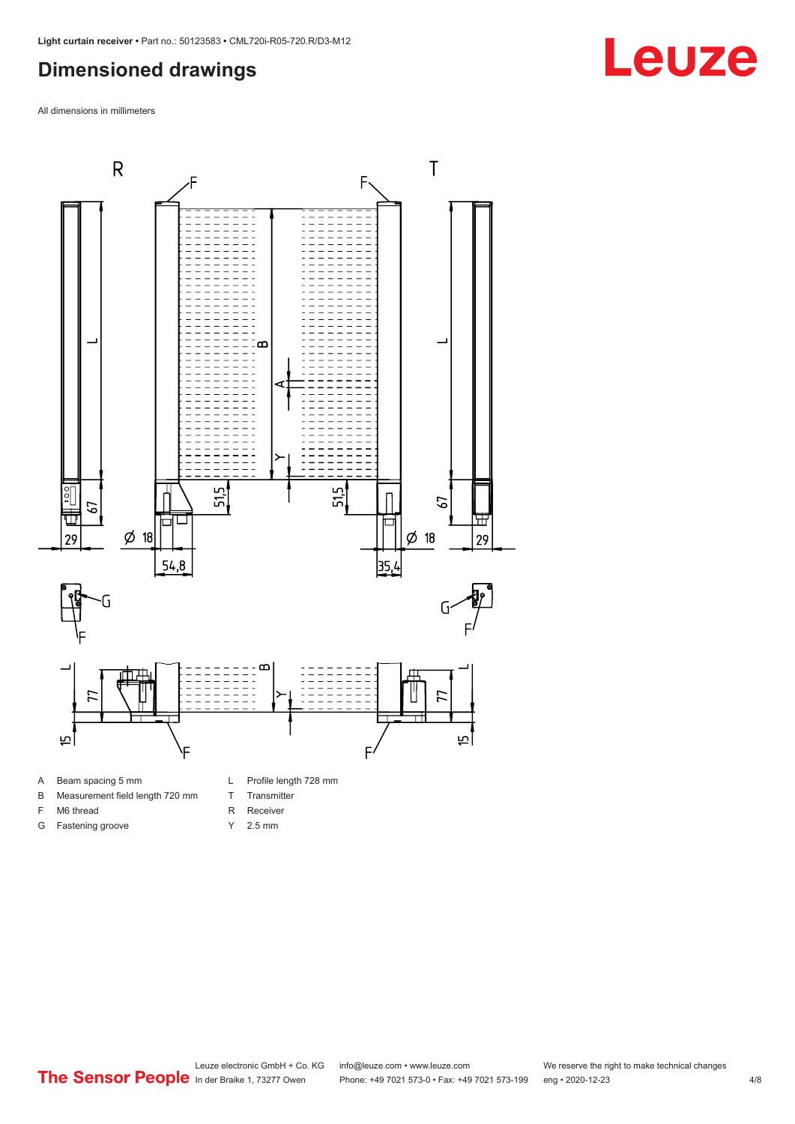#### <span id="page-3-0"></span>**Dimensioned drawings**

All dimensions in millimeters



B Measurement field length 720 mm

- 
- F M6 thread
- G Fastening groove
- T Transmitter
- R Receiver
- Y 2.5 mm
- 

**Leuze**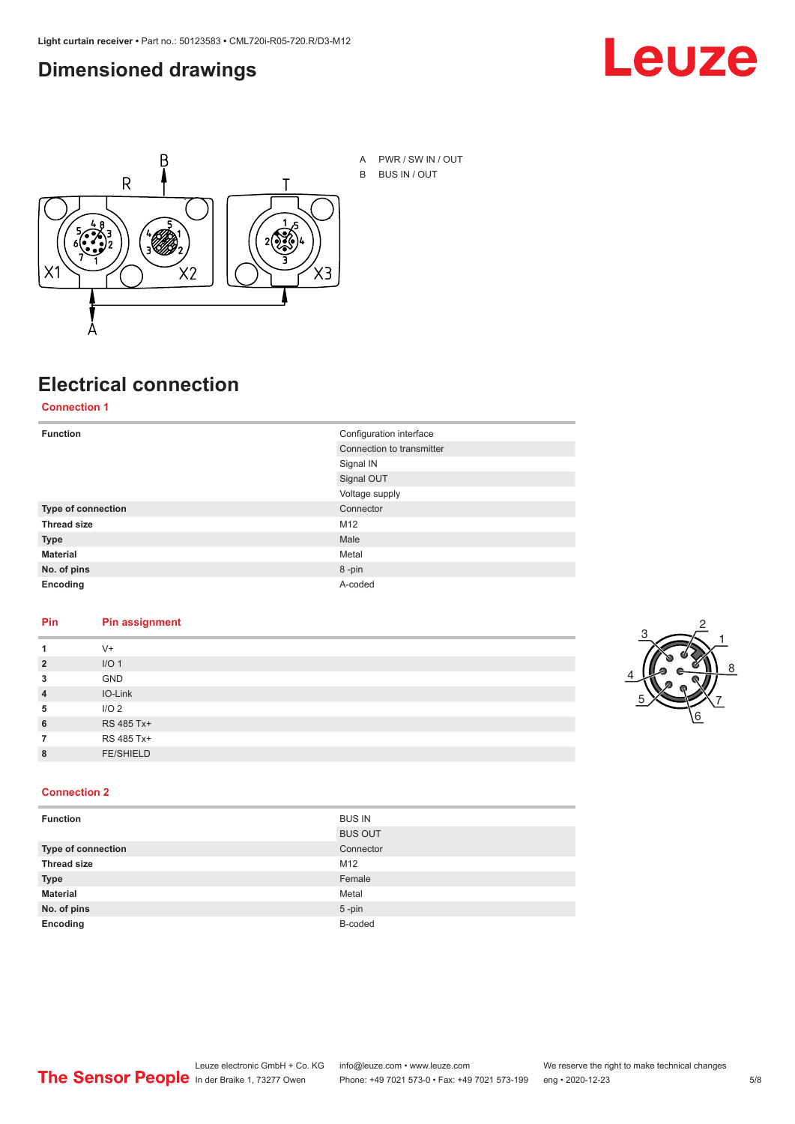#### <span id="page-4-0"></span>**Dimensioned drawings**





### **Electrical connection**

**Connection 1**

| <b>Function</b>    | Configuration interface   |
|--------------------|---------------------------|
|                    | Connection to transmitter |
|                    | Signal IN                 |
|                    | Signal OUT                |
|                    | Voltage supply            |
| Type of connection | Connector                 |
| <b>Thread size</b> | M12                       |
| <b>Type</b>        | Male                      |
| <b>Material</b>    | Metal                     |
| No. of pins        | 8-pin                     |
| Encoding           | A-coded                   |

#### **Pin Pin assignment**

| 1              | $V +$            |  |  |
|----------------|------------------|--|--|
| $\overline{2}$ | I/O <sub>1</sub> |  |  |
| 3              | <b>GND</b>       |  |  |
| $\overline{4}$ | IO-Link          |  |  |
| 5              | I/O <sub>2</sub> |  |  |
| 6              | RS 485 Tx+       |  |  |
| 7              | RS 485 Tx+       |  |  |
| 8              | <b>FE/SHIELD</b> |  |  |
|                |                  |  |  |



#### **Connection 2**

| <b>Function</b>    | <b>BUS IN</b>  |
|--------------------|----------------|
|                    | <b>BUS OUT</b> |
| Type of connection | Connector      |
| <b>Thread size</b> | M12            |
| <b>Type</b>        | Female         |
| <b>Material</b>    | Metal          |
| No. of pins        | $5 - pin$      |
| Encoding           | B-coded        |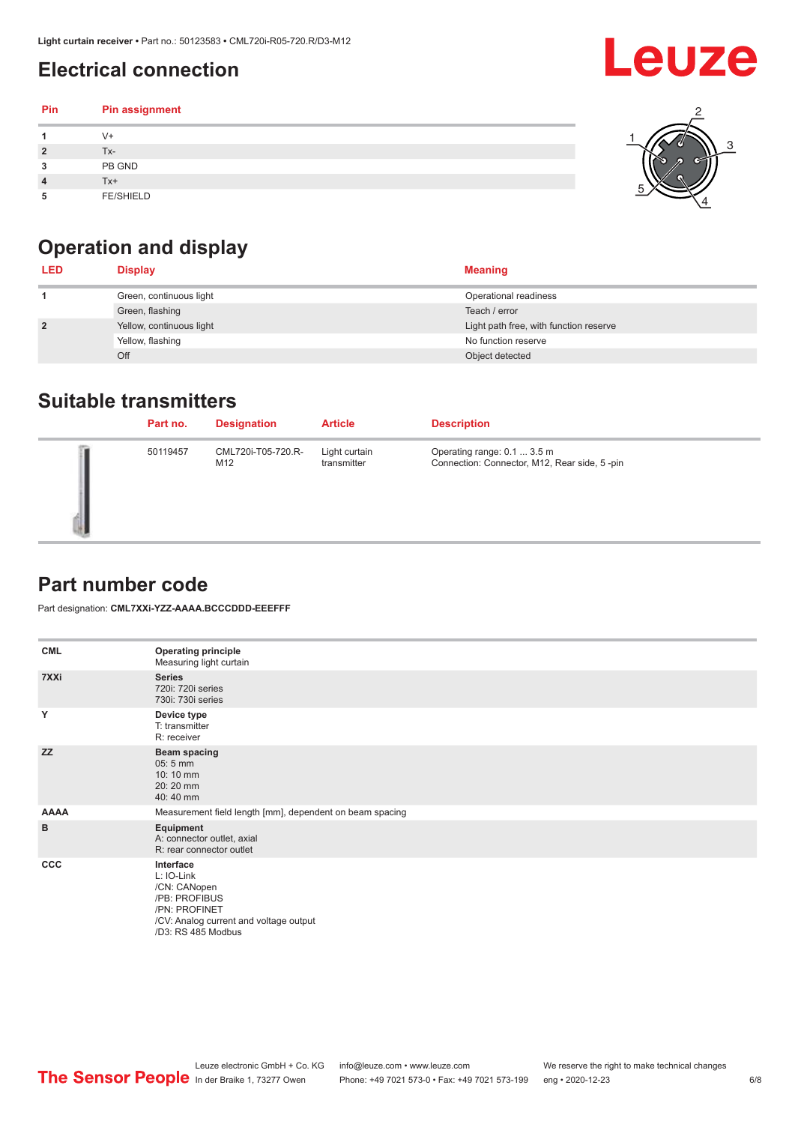### <span id="page-5-0"></span>**Electrical connection**

#### **Pin Pin assignment 1** V+ **2** Tx-**3** PB GND **4** Tx+ **5** FE/SHIELD 3 2 1 5 4



| <b>LED</b>     | <b>Display</b>           | <b>Meaning</b>                         |
|----------------|--------------------------|----------------------------------------|
|                | Green, continuous light  | Operational readiness                  |
|                | Green, flashing          | Teach / error                          |
| $\overline{2}$ | Yellow, continuous light | Light path free, with function reserve |
|                | Yellow, flashing         | No function reserve                    |
|                | Off                      | Object detected                        |

#### **Suitable transmitters**

| Part no. | <b>Designation</b>        | <b>Article</b>               | <b>Description</b>                                                          |
|----------|---------------------------|------------------------------|-----------------------------------------------------------------------------|
| 50119457 | CML720i-T05-720.R-<br>M12 | Light curtain<br>transmitter | Operating range: 0.1  3.5 m<br>Connection: Connector, M12, Rear side, 5-pin |

### **Part number code**

Part designation: **CML7XXi-YZZ-AAAA.BCCCDDD-EEEFFF**

| <b>CML</b>  | <b>Operating principle</b><br>Measuring light curtain                                                                                     |
|-------------|-------------------------------------------------------------------------------------------------------------------------------------------|
| 7XXi        | <b>Series</b><br>720i: 720i series<br>730i: 730i series                                                                                   |
| Y           | Device type<br>T: transmitter<br>R: receiver                                                                                              |
| <b>ZZ</b>   | <b>Beam spacing</b><br>05:5 mm<br>10:10 mm<br>20:20 mm<br>40:40 mm                                                                        |
| <b>AAAA</b> | Measurement field length [mm], dependent on beam spacing                                                                                  |
| в           | Equipment<br>A: connector outlet, axial<br>R: rear connector outlet                                                                       |
| <b>CCC</b>  | Interface<br>L: IO-Link<br>/CN: CANopen<br>/PB: PROFIBUS<br>/PN: PROFINET<br>/CV: Analog current and voltage output<br>/D3: RS 485 Modbus |

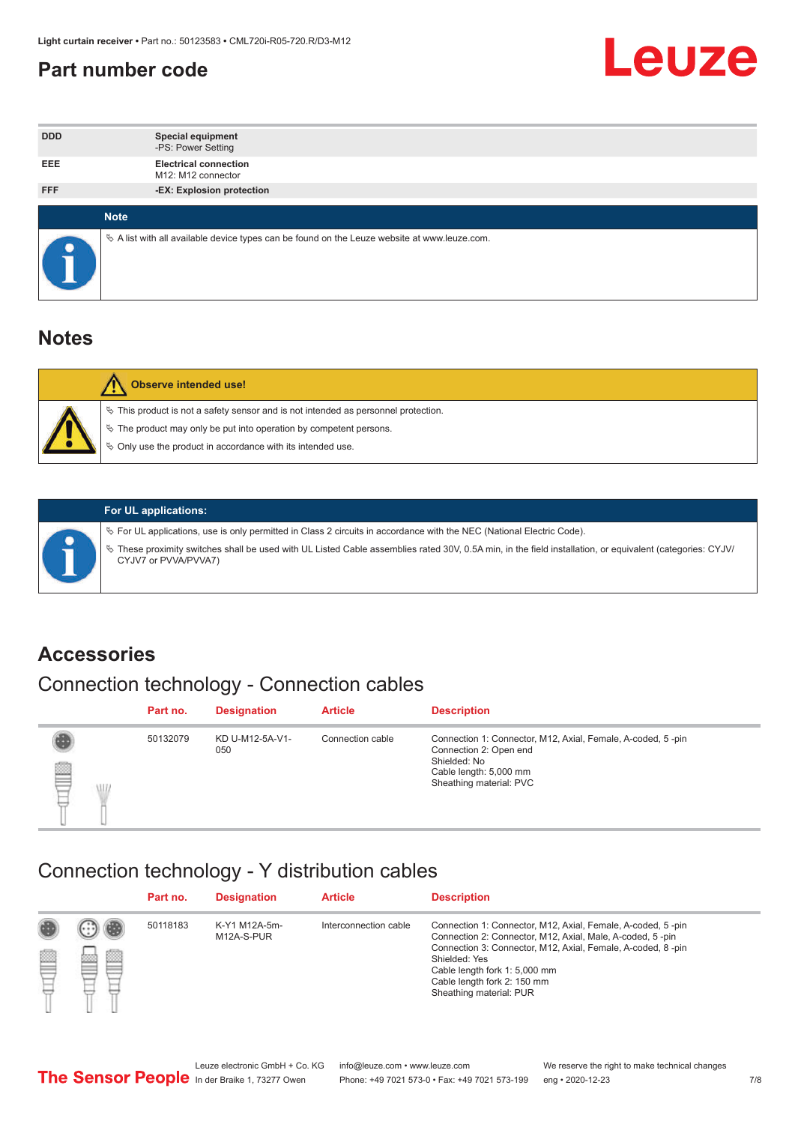#### <span id="page-6-0"></span>**Part number code**



| <b>DDD</b> | <b>Special equipment</b><br>-PS: Power Setting                                                  |
|------------|-------------------------------------------------------------------------------------------------|
| <b>EEE</b> | <b>Electrical connection</b><br>M <sub>12</sub> : M <sub>12</sub> connector                     |
| <b>FFF</b> | -EX: Explosion protection                                                                       |
|            | <b>Note</b>                                                                                     |
| $\bullet$  | $\&$ A list with all available device types can be found on the Leuze website at www.leuze.com. |

#### **Notes**

| $\%$ The product may only be put into operation by competent persons.<br>₿ Only use the product in accordance with its intended use. | $\%$ This product is not a safety sensor and is not intended as personnel protection. |
|--------------------------------------------------------------------------------------------------------------------------------------|---------------------------------------------------------------------------------------|



#### **For UL applications:**

ª For UL applications, use is only permitted in Class 2 circuits in accordance with the NEC (National Electric Code). ª These proximity switches shall be used with UL Listed Cable assemblies rated 30V, 0.5A min, in the field installation, or equivalent (categories: CYJV/ CYJV7 or PVVA/PVVA7)

#### **Accessories**

### Connection technology - Connection cables

|        | Part no. | <b>Designation</b>     | <b>Article</b>   | <b>Description</b>                                                                                                                                         |
|--------|----------|------------------------|------------------|------------------------------------------------------------------------------------------------------------------------------------------------------------|
| 2<br>W | 50132079 | KD U-M12-5A-V1-<br>050 | Connection cable | Connection 1: Connector, M12, Axial, Female, A-coded, 5-pin<br>Connection 2: Open end<br>Shielded: No<br>Cable length: 5,000 mm<br>Sheathing material: PVC |

#### Connection technology - Y distribution cables

|        |   | Part no. | <b>Designation</b>          | <b>Article</b>        | <b>Description</b>                                                                                                                                                                                                                                                                                  |
|--------|---|----------|-----------------------------|-----------------------|-----------------------------------------------------------------------------------------------------------------------------------------------------------------------------------------------------------------------------------------------------------------------------------------------------|
| 圔<br>⋿ | Ø | 50118183 | K-Y1 M12A-5m-<br>M12A-S-PUR | Interconnection cable | Connection 1: Connector, M12, Axial, Female, A-coded, 5-pin<br>Connection 2: Connector, M12, Axial, Male, A-coded, 5-pin<br>Connection 3: Connector, M12, Axial, Female, A-coded, 8-pin<br>Shielded: Yes<br>Cable length fork 1: 5,000 mm<br>Cable length fork 2: 150 mm<br>Sheathing material: PUR |